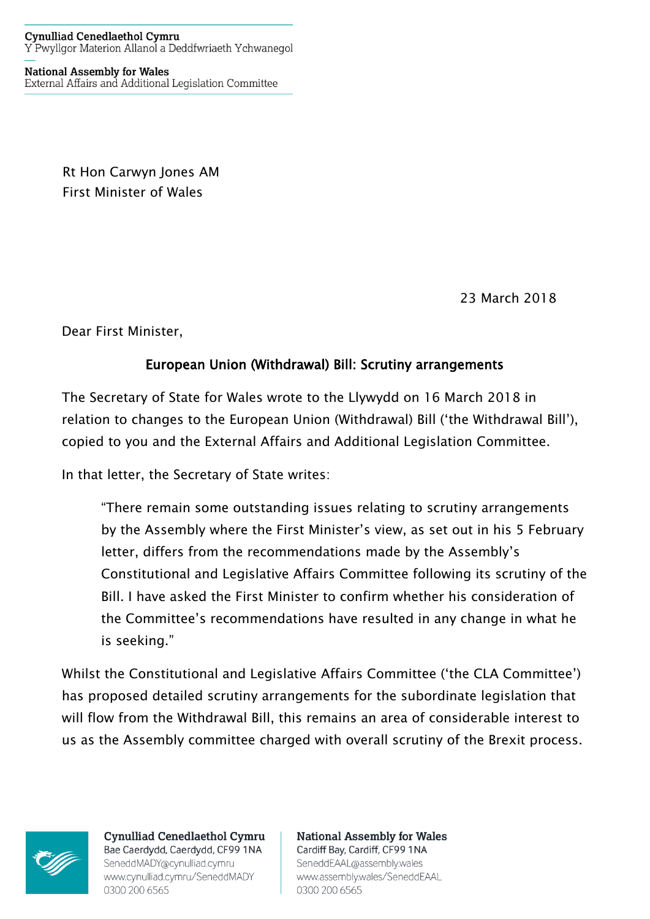**National Assembly for Wales** External Affairs and Additional Legislation Committee

> Rt Hon Carwyn Jones AM First Minister of Wales

> > 23 March 2018

Dear First Minister,

## European Union (Withdrawal) Bill: Scrutiny arrangements

The Secretary of State for Wales wrote to the Llywydd on 16 March 2018 in relation to changes to the European Union (Withdrawal) Bill ('the Withdrawal Bill'), copied to you and the External Affairs and Additional Legislation Committee.

In that letter, the Secretary of State writes:

"There remain some outstanding issues relating to scrutiny arrangements by the Assembly where the First Minister's view, as set out in his 5 February letter, differs from the recommendations made by the Assembly's Constitutional and Legislative Affairs Committee following its scrutiny of the Bill. I have asked the First Minister to confirm whether his consideration of the Committee's recommendations have resulted in any change in what he is seeking."

Whilst the Constitutional and Legislative Affairs Committee ('the CLA Committee') has proposed detailed scrutiny arrangements for the subordinate legislation that will flow from the Withdrawal Bill, this remains an area of considerable interest to us as the Assembly committee charged with overall scrutiny of the Brexit process.



**Cynulliad Cenedlaethol Cymru** Bae Caerdydd, Caerdydd, CF99 1NA SeneddMADY@cynulliad.cymru www.cynulliad.cymru/SeneddMADY 0300 200 6565

**National Assembly for Wales** Cardiff Bay, Cardiff, CF99 1NA SeneddEAAL@assembly.wales www.assembly.wales/SeneddEAAL 0300 200 6565